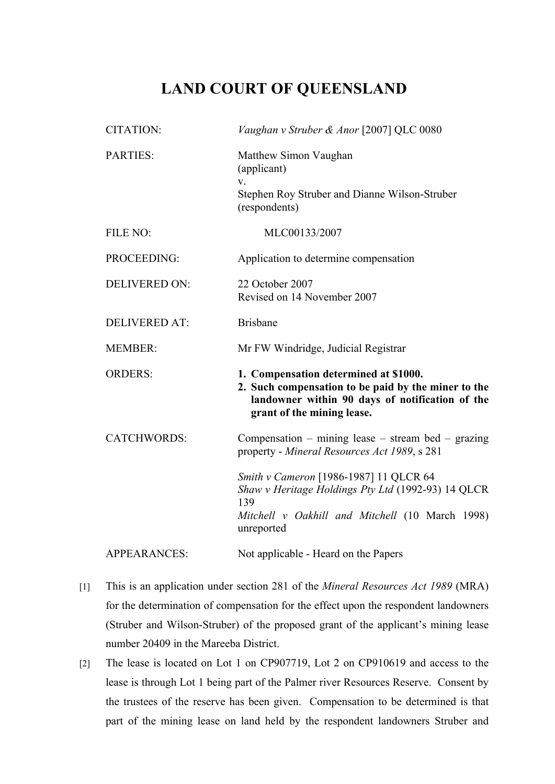## **LAND COURT OF QUEENSLAND**

| <b>CITATION:</b>     | Vaughan v Struber & Anor [2007] QLC 0080                                                                                                                                      |
|----------------------|-------------------------------------------------------------------------------------------------------------------------------------------------------------------------------|
| <b>PARTIES:</b>      | Matthew Simon Vaughan<br>(applicant)<br>V.<br>Stephen Roy Struber and Dianne Wilson-Struber<br>(respondents)                                                                  |
| FILE NO:             | MLC00133/2007                                                                                                                                                                 |
| PROCEEDING:          | Application to determine compensation                                                                                                                                         |
| <b>DELIVERED ON:</b> | 22 October 2007<br>Revised on 14 November 2007                                                                                                                                |
| <b>DELIVERED AT:</b> | <b>Brisbane</b>                                                                                                                                                               |
| <b>MEMBER:</b>       | Mr FW Windridge, Judicial Registrar                                                                                                                                           |
| <b>ORDERS:</b>       | 1. Compensation determined at \$1000.<br>2. Such compensation to be paid by the miner to the<br>landowner within 90 days of notification of the<br>grant of the mining lease. |
| <b>CATCHWORDS:</b>   | Compensation – mining lease – stream bed – grazing<br>property - Mineral Resources Act 1989, s 281                                                                            |
|                      | Smith v Cameron [1986-1987] 11 QLCR 64<br>Shaw v Heritage Holdings Pty Ltd (1992-93) 14 QLCR<br>139<br>Mitchell v Oakhill and Mitchell (10 March 1998)<br>unreported          |
| <b>APPEARANCES:</b>  | Not applicable - Heard on the Papers                                                                                                                                          |

- [1] This is an application under section 281 of the *Mineral Resources Act 1989* (MRA) for the determination of compensation for the effect upon the respondent landowners (Struber and Wilson-Struber) of the proposed grant of the applicant's mining lease number 20409 in the Mareeba District.
- [2] The lease is located on Lot 1 on CP907719, Lot 2 on CP910619 and access to the lease is through Lot 1 being part of the Palmer river Resources Reserve. Consent by the trustees of the reserve has been given. Compensation to be determined is that part of the mining lease on land held by the respondent landowners Struber and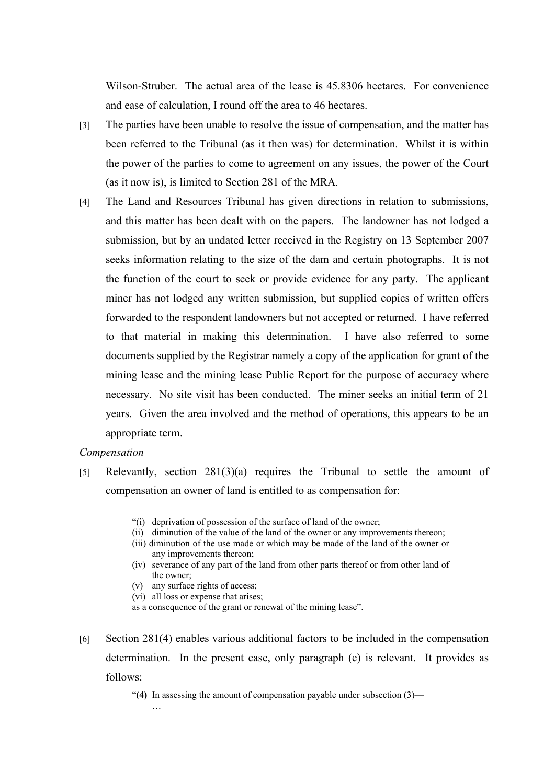Wilson-Struber. The actual area of the lease is 45.8306 hectares. For convenience and ease of calculation, I round off the area to 46 hectares.

- [3] The parties have been unable to resolve the issue of compensation, and the matter has been referred to the Tribunal (as it then was) for determination. Whilst it is within the power of the parties to come to agreement on any issues, the power of the Court (as it now is), is limited to Section 281 of the MRA.
- [4] The Land and Resources Tribunal has given directions in relation to submissions, and this matter has been dealt with on the papers. The landowner has not lodged a submission, but by an undated letter received in the Registry on 13 September 2007 seeks information relating to the size of the dam and certain photographs. It is not the function of the court to seek or provide evidence for any party. The applicant miner has not lodged any written submission, but supplied copies of written offers forwarded to the respondent landowners but not accepted or returned. I have referred to that material in making this determination. I have also referred to some documents supplied by the Registrar namely a copy of the application for grant of the mining lease and the mining lease Public Report for the purpose of accuracy where necessary. No site visit has been conducted. The miner seeks an initial term of 21 years. Given the area involved and the method of operations, this appears to be an appropriate term.

## *Compensation*

- [5] Relevantly, section 281(3)(a) requires the Tribunal to settle the amount of compensation an owner of land is entitled to as compensation for:
	- "(i) deprivation of possession of the surface of land of the owner;
	- (ii) diminution of the value of the land of the owner or any improvements thereon;
	- (iii) diminution of the use made or which may be made of the land of the owner or any improvements thereon;
	- (iv) severance of any part of the land from other parts thereof or from other land of the owner;
	- (v) any surface rights of access;
	- (vi) all loss or expense that arises;

 $\mathbf{L}$ 

- as a consequence of the grant or renewal of the mining lease".
- [6] Section 281(4) enables various additional factors to be included in the compensation determination. In the present case, only paragraph (e) is relevant. It provides as follows:

"**(4)** In assessing the amount of compensation payable under subsection (3)—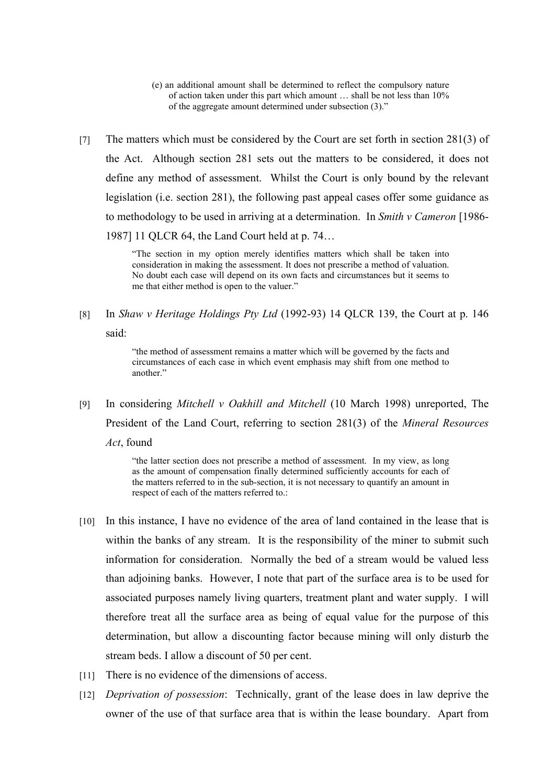- (e) an additional amount shall be determined to reflect the compulsory nature of action taken under this part which amount … shall be not less than 10% of the aggregate amount determined under subsection (3)."
- [7] The matters which must be considered by the Court are set forth in section 281(3) of the Act. Although section 281 sets out the matters to be considered, it does not define any method of assessment. Whilst the Court is only bound by the relevant legislation (i.e. section 281), the following past appeal cases offer some guidance as to methodology to be used in arriving at a determination. In *Smith v Cameron* [1986- 1987] 11 QLCR 64, the Land Court held at p. 74…

"The section in my option merely identifies matters which shall be taken into consideration in making the assessment. It does not prescribe a method of valuation. No doubt each case will depend on its own facts and circumstances but it seems to me that either method is open to the valuer."

[8] In *Shaw v Heritage Holdings Pty Ltd* (1992-93) 14 QLCR 139, the Court at p. 146 said:

> "the method of assessment remains a matter which will be governed by the facts and circumstances of each case in which event emphasis may shift from one method to another"

[9] In considering *Mitchell v Oakhill and Mitchell* (10 March 1998) unreported, The President of the Land Court, referring to section 281(3) of the *Mineral Resources Act*, found

> "the latter section does not prescribe a method of assessment. In my view, as long as the amount of compensation finally determined sufficiently accounts for each of the matters referred to in the sub-section, it is not necessary to quantify an amount in respect of each of the matters referred to.:

- [10] In this instance, I have no evidence of the area of land contained in the lease that is within the banks of any stream. It is the responsibility of the miner to submit such information for consideration. Normally the bed of a stream would be valued less than adjoining banks. However, I note that part of the surface area is to be used for associated purposes namely living quarters, treatment plant and water supply. I will therefore treat all the surface area as being of equal value for the purpose of this determination, but allow a discounting factor because mining will only disturb the stream beds. I allow a discount of 50 per cent.
- [11] There is no evidence of the dimensions of access.
- [12] *Deprivation of possession*: Technically, grant of the lease does in law deprive the owner of the use of that surface area that is within the lease boundary. Apart from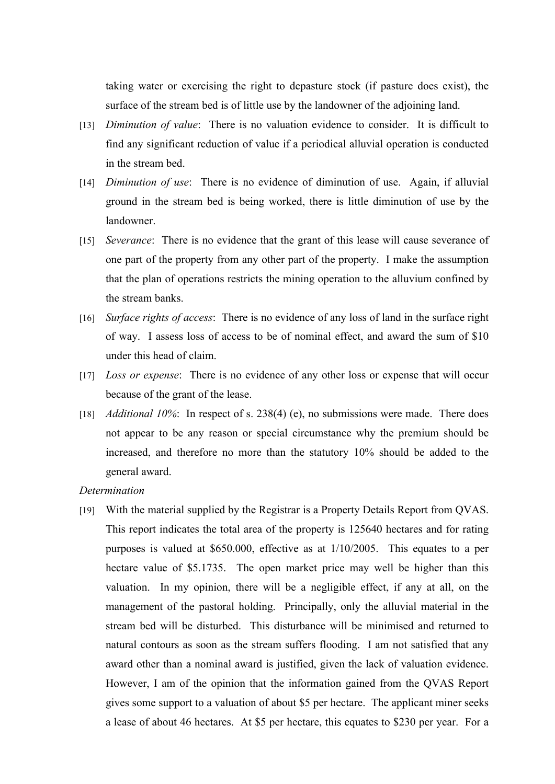taking water or exercising the right to depasture stock (if pasture does exist), the surface of the stream bed is of little use by the landowner of the adjoining land.

- [13] *Diminution of value*: There is no valuation evidence to consider. It is difficult to find any significant reduction of value if a periodical alluvial operation is conducted in the stream bed.
- [14] *Diminution of use*: There is no evidence of diminution of use. Again, if alluvial ground in the stream bed is being worked, there is little diminution of use by the landowner.
- [15] *Severance*: There is no evidence that the grant of this lease will cause severance of one part of the property from any other part of the property. I make the assumption that the plan of operations restricts the mining operation to the alluvium confined by the stream banks.
- [16] *Surface rights of access*: There is no evidence of any loss of land in the surface right of way. I assess loss of access to be of nominal effect, and award the sum of \$10 under this head of claim.
- [17] *Loss or expense*: There is no evidence of any other loss or expense that will occur because of the grant of the lease.
- [18] *Additional 10%*: In respect of s. 238(4) (e), no submissions were made. There does not appear to be any reason or special circumstance why the premium should be increased, and therefore no more than the statutory 10% should be added to the general award.
- *Determination*
- [19] With the material supplied by the Registrar is a Property Details Report from QVAS. This report indicates the total area of the property is 125640 hectares and for rating purposes is valued at \$650.000, effective as at 1/10/2005. This equates to a per hectare value of \$5.1735. The open market price may well be higher than this valuation. In my opinion, there will be a negligible effect, if any at all, on the management of the pastoral holding. Principally, only the alluvial material in the stream bed will be disturbed. This disturbance will be minimised and returned to natural contours as soon as the stream suffers flooding. I am not satisfied that any award other than a nominal award is justified, given the lack of valuation evidence. However, I am of the opinion that the information gained from the QVAS Report gives some support to a valuation of about \$5 per hectare. The applicant miner seeks a lease of about 46 hectares. At \$5 per hectare, this equates to \$230 per year. For a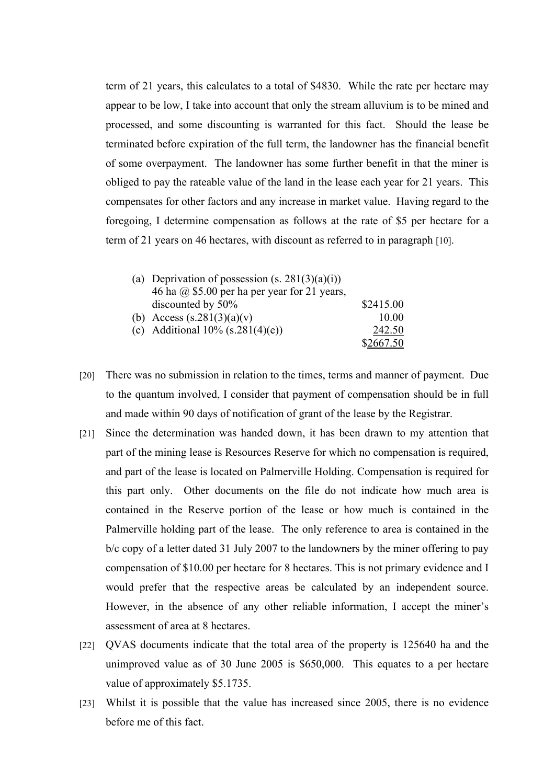term of 21 years, this calculates to a total of \$4830. While the rate per hectare may appear to be low, I take into account that only the stream alluvium is to be mined and processed, and some discounting is warranted for this fact. Should the lease be terminated before expiration of the full term, the landowner has the financial benefit of some overpayment. The landowner has some further benefit in that the miner is obliged to pay the rateable value of the land in the lease each year for 21 years. This compensates for other factors and any increase in market value. Having regard to the foregoing, I determine compensation as follows at the rate of \$5 per hectare for a term of 21 years on 46 hectares, with discount as referred to in paragraph [10].

| (a) Deprivation of possession $(s. 281(3)(a)(i))$   |           |
|-----------------------------------------------------|-----------|
| 46 ha $\omega$ \$5.00 per ha per year for 21 years, |           |
| discounted by 50%                                   | \$2415.00 |
| (b) Access $(s.281(3)(a)(v)$                        | 10.00     |
| (c) Additional $10\%$ (s.281(4)(e))                 | 242.50    |
|                                                     | \$2667.50 |

- [20] There was no submission in relation to the times, terms and manner of payment. Due to the quantum involved, I consider that payment of compensation should be in full and made within 90 days of notification of grant of the lease by the Registrar.
- [21] Since the determination was handed down, it has been drawn to my attention that part of the mining lease is Resources Reserve for which no compensation is required, and part of the lease is located on Palmerville Holding. Compensation is required for this part only. Other documents on the file do not indicate how much area is contained in the Reserve portion of the lease or how much is contained in the Palmerville holding part of the lease. The only reference to area is contained in the b/c copy of a letter dated 31 July 2007 to the landowners by the miner offering to pay compensation of \$10.00 per hectare for 8 hectares. This is not primary evidence and I would prefer that the respective areas be calculated by an independent source. However, in the absence of any other reliable information, I accept the miner's assessment of area at 8 hectares.
- [22] QVAS documents indicate that the total area of the property is 125640 ha and the unimproved value as of 30 June 2005 is \$650,000. This equates to a per hectare value of approximately \$5.1735.
- [23] Whilst it is possible that the value has increased since 2005, there is no evidence before me of this fact.